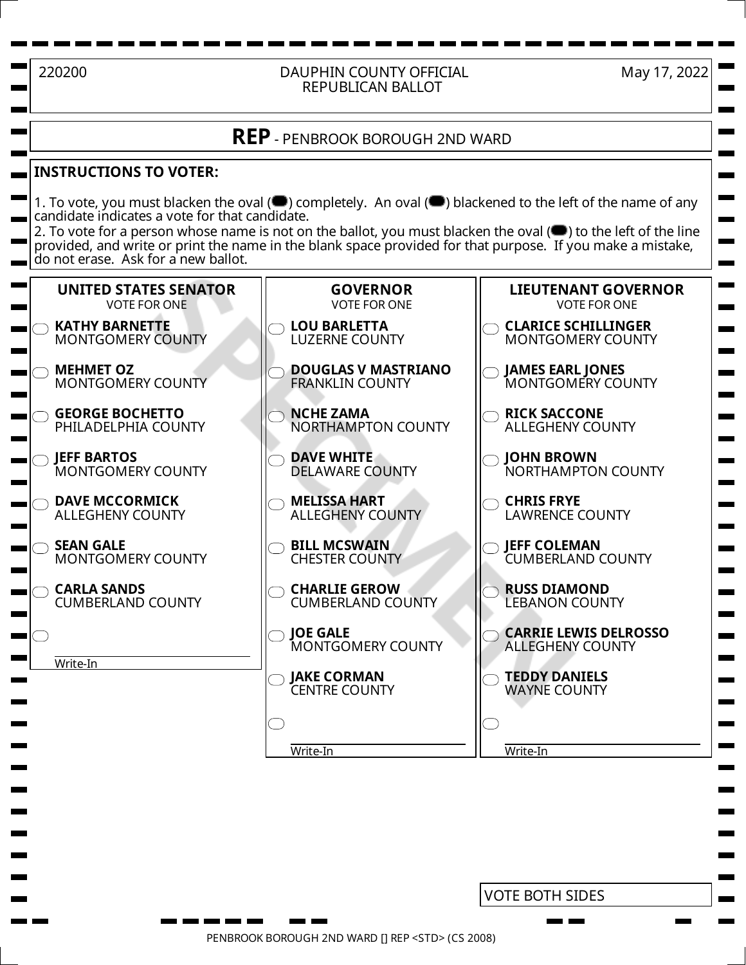## 220200 DAUPHIN COUNTY OFFICIAL REPUBLICAN BALLOT

May 17, 2022

## **REP** - PENBROOK BOROUGH 2ND WARD

## **INSTRUCTIONS TO VOTER:**

1. To vote, you must blacken the oval ( $\blacksquare$ ) completely. An oval ( $\blacksquare$ ) blackened to the left of the name of any candidate indicates a vote for that candidate.

2. To vote for a person whose name is not on the ballot, you must blacken the oval  $($ **)** to the left of the line provided, and write or print the name in the blank space provided for that purpose. If you make a mistake, do not erase. Ask for a new ballot.